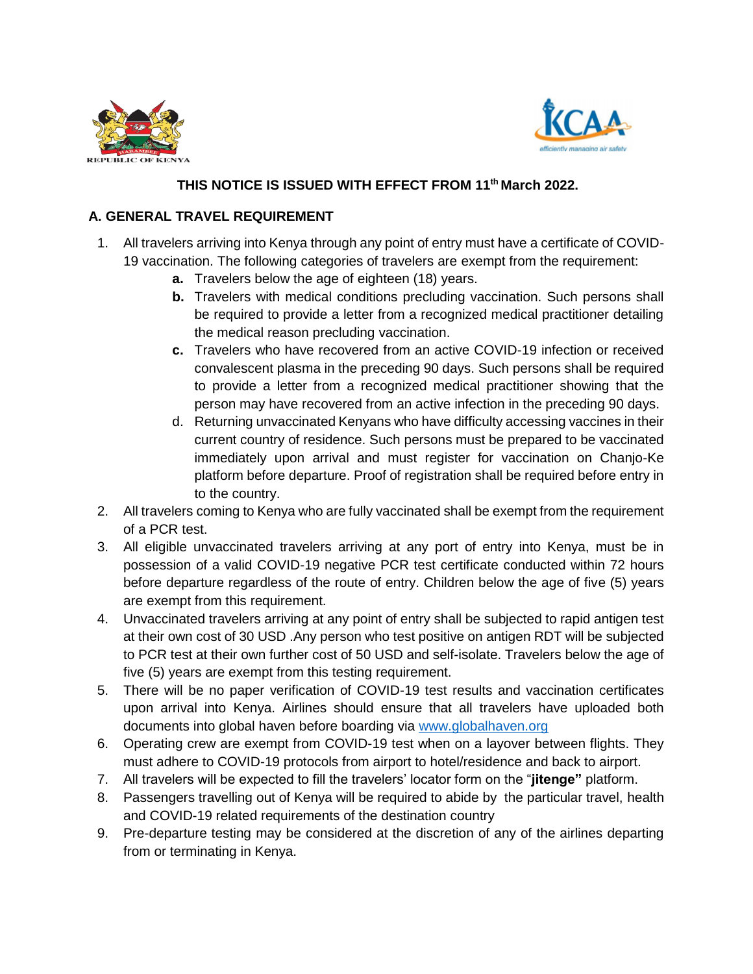



## **THIS NOTICE IS ISSUED WITH EFFECT FROM 11th March 2022.**

## **A. GENERAL TRAVEL REQUIREMENT**

- 1. All travelers arriving into Kenya through any point of entry must have a certificate of COVID-19 vaccination. The following categories of travelers are exempt from the requirement:
	- **a.** Travelers below the age of eighteen (18) years.
	- **b.** Travelers with medical conditions precluding vaccination. Such persons shall be required to provide a letter from a recognized medical practitioner detailing the medical reason precluding vaccination.
	- **c.** Travelers who have recovered from an active COVID-19 infection or received convalescent plasma in the preceding 90 days. Such persons shall be required to provide a letter from a recognized medical practitioner showing that the person may have recovered from an active infection in the preceding 90 days.
	- d. Returning unvaccinated Kenyans who have difficulty accessing vaccines in their current country of residence. Such persons must be prepared to be vaccinated immediately upon arrival and must register for vaccination on Chanjo-Ke platform before departure. Proof of registration shall be required before entry in to the country.
- 2. All travelers coming to Kenya who are fully vaccinated shall be exempt from the requirement of a PCR test.
- 3. All eligible unvaccinated travelers arriving at any port of entry into Kenya, must be in possession of a valid COVID-19 negative PCR test certificate conducted within 72 hours before departure regardless of the route of entry. Children below the age of five (5) years are exempt from this requirement.
- 4. Unvaccinated travelers arriving at any point of entry shall be subjected to rapid antigen test at their own cost of 30 USD .Any person who test positive on antigen RDT will be subjected to PCR test at their own further cost of 50 USD and self-isolate. Travelers below the age of five (5) years are exempt from this testing requirement.
- 5. There will be no paper verification of COVID-19 test results and vaccination certificates upon arrival into Kenya. Airlines should ensure that all travelers have uploaded both documents into global haven before boarding via [www.globalhaven.org](http://www.globalhaven.org/)
- 6. Operating crew are exempt from COVID-19 test when on a layover between flights. They must adhere to COVID-19 protocols from airport to hotel/residence and back to airport.
- 7. All travelers will be expected to fill the travelers' locator form on the "**jitenge"** platform.
- 8. Passengers travelling out of Kenya will be required to abide by the particular travel, health and COVID-19 related requirements of the destination country
- 9. Pre-departure testing may be considered at the discretion of any of the airlines departing from or terminating in Kenya.